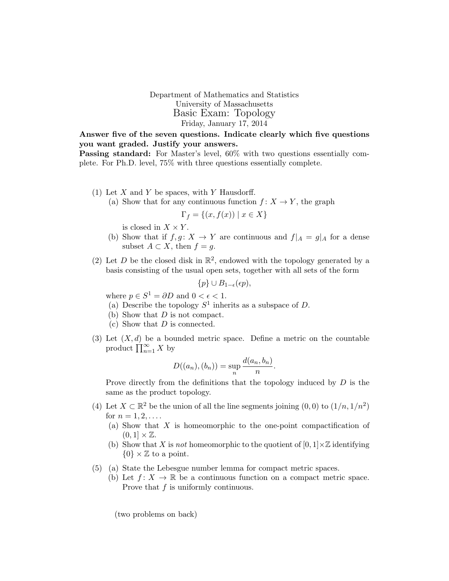Department of Mathematics and Statistics University of Massachusetts Basic Exam: Topology Friday, January 17, 2014

Answer five of the seven questions. Indicate clearly which five questions you want graded. Justify your answers.

Passing standard: For Master's level, 60% with two questions essentially complete. For Ph.D. level, 75% with three questions essentially complete.

- (1) Let  $X$  and  $Y$  be spaces, with  $Y$  Hausdorff.
	- (a) Show that for any continuous function  $f: X \to Y$ , the graph

$$
\Gamma_f = \{(x, f(x)) \mid x \in X\}
$$

is closed in  $X \times Y$ .

- (b) Show that if  $f, g: X \to Y$  are continuous and  $f|_A = g|_A$  for a dense subset  $A \subset X$ , then  $f = g$ .
- (2) Let D be the closed disk in  $\mathbb{R}^2$ , endowed with the topology generated by a basis consisting of the usual open sets, together with all sets of the form

$$
\{p\} \cup B_{1-\epsilon}(\epsilon p),
$$

where  $p \in S^1 = \partial D$  and  $0 < \epsilon < 1$ .

- (a) Describe the topology  $S^1$  inherits as a subspace of D.
- (b) Show that  $D$  is not compact.
- (c) Show that  $D$  is connected.
- (3) Let  $(X, d)$  be a bounded metric space. Define a metric on the countable product  $\prod_{n=1}^{\infty} X$  by

$$
D((a_n),(b_n)) = \sup_n \frac{d(a_n,b_n)}{n}.
$$

Prove directly from the definitions that the topology induced by  $D$  is the same as the product topology.

- (4) Let  $X \subset \mathbb{R}^2$  be the union of all the line segments joining  $(0,0)$  to  $(1/n, 1/n^2)$ for  $n = 1, 2, \ldots$ .
	- (a) Show that X is homeomorphic to the one-point compactification of  $(0, 1] \times \mathbb{Z}$ .
	- (b) Show that X is not homeomorphic to the quotient of  $[0, 1] \times \mathbb{Z}$  identifying  $\{0\} \times \mathbb{Z}$  to a point.
- (5) (a) State the Lebesgue number lemma for compact metric spaces.
	- (b) Let  $f: X \to \mathbb{R}$  be a continuous function on a compact metric space. Prove that f is uniformly continuous.

(two problems on back)